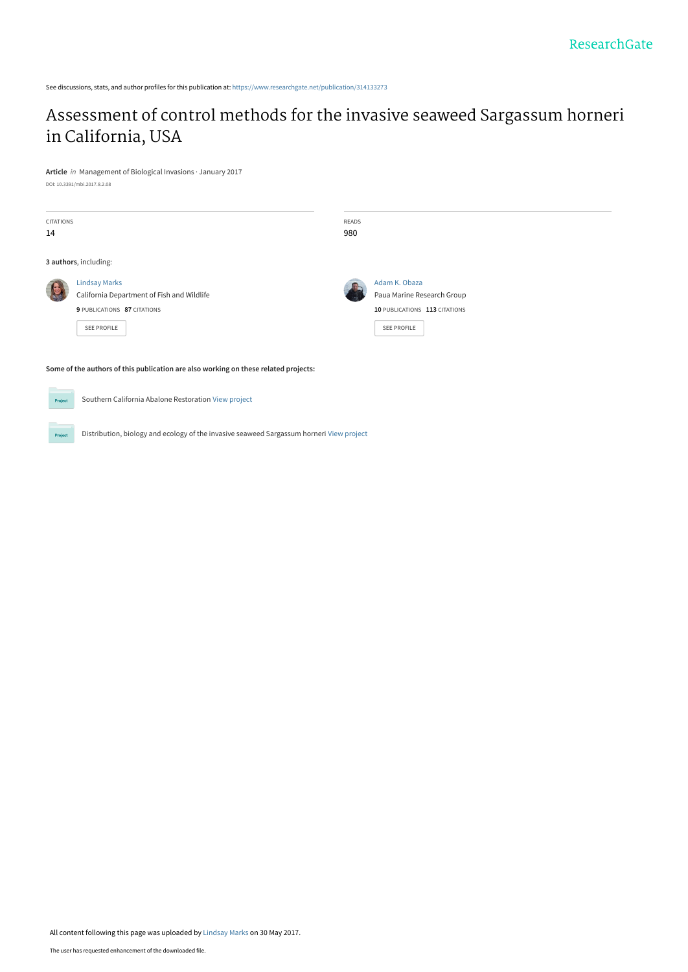See discussions, stats, and author profiles for this publication at: [https://www.researchgate.net/publication/314133273](https://www.researchgate.net/publication/314133273_Assessment_of_control_methods_for_the_invasive_seaweed_Sargassum_horneri_in_California_USA?enrichId=rgreq-3a70712f0bea44d175ce40523e1000f9-XXX&enrichSource=Y292ZXJQYWdlOzMxNDEzMzI3MztBUzo0OTk3ODk2ODgwMDA1MTJAMTQ5NjE3MDU1NTU2MQ%3D%3D&el=1_x_2&_esc=publicationCoverPdf)

# [Assessment of control methods for the invasive seaweed Sargassum horneri](https://www.researchgate.net/publication/314133273_Assessment_of_control_methods_for_the_invasive_seaweed_Sargassum_horneri_in_California_USA?enrichId=rgreq-3a70712f0bea44d175ce40523e1000f9-XXX&enrichSource=Y292ZXJQYWdlOzMxNDEzMzI3MztBUzo0OTk3ODk2ODgwMDA1MTJAMTQ5NjE3MDU1NTU2MQ%3D%3D&el=1_x_3&_esc=publicationCoverPdf) in California, USA

**Article** in Management of Biological Invasions · January 2017 DOI: 10.3391/mbi.2017.8.2.08

| <b>CITATIONS</b><br>14 |                                                                                                                         | <b>READS</b><br>980 |                                                                                             |
|------------------------|-------------------------------------------------------------------------------------------------------------------------|---------------------|---------------------------------------------------------------------------------------------|
| 3 authors, including:  |                                                                                                                         |                     |                                                                                             |
|                        | <b>Lindsay Marks</b><br>California Department of Fish and Wildlife<br>9 PUBLICATIONS 87 CITATIONS<br><b>SEE PROFILE</b> |                     | Adam K. Obaza<br>Paua Marine Research Group<br>10 PUBLICATIONS 113 CITATIONS<br>SEE PROFILE |

**Some of the authors of this publication are also working on these related projects:**

 $Prc$ 

Proj

Southern California Abalone Restoration [View project](https://www.researchgate.net/project/Southern-California-Abalone-Restoration?enrichId=rgreq-3a70712f0bea44d175ce40523e1000f9-XXX&enrichSource=Y292ZXJQYWdlOzMxNDEzMzI3MztBUzo0OTk3ODk2ODgwMDA1MTJAMTQ5NjE3MDU1NTU2MQ%3D%3D&el=1_x_9&_esc=publicationCoverPdf)

Distribution, biology and ecology of the invasive seaweed Sargassum horneri [View project](https://www.researchgate.net/project/Distribution-biology-and-ecology-of-the-invasive-seaweed-Sargassum-horneri?enrichId=rgreq-3a70712f0bea44d175ce40523e1000f9-XXX&enrichSource=Y292ZXJQYWdlOzMxNDEzMzI3MztBUzo0OTk3ODk2ODgwMDA1MTJAMTQ5NjE3MDU1NTU2MQ%3D%3D&el=1_x_9&_esc=publicationCoverPdf)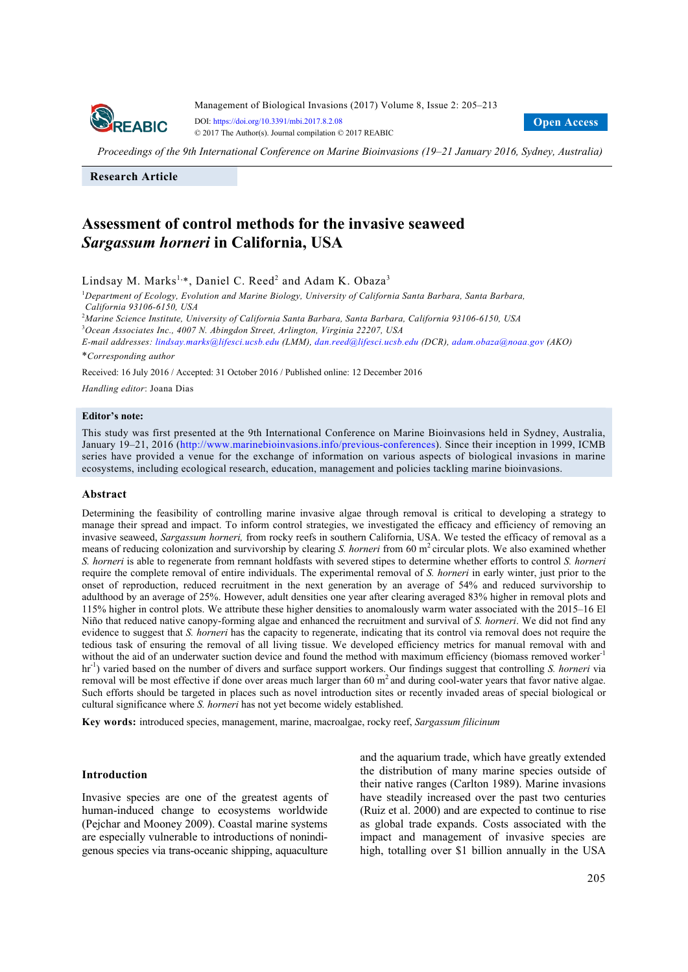

Management of Biological Invasions (2017) Volume 8, Issue 2: 205–213 DOI: https://doi.org/10.3391/mbi.2017.8.2.08 © 2017 The Author(s). Journal compilation © 2017 REABIC

**Open Access** 

*Proceedings of the 9th International Conference on Marine Bioinvasions (19–21 January 2016, Sydney, Australia)*

**Research Article**

## **Assessment of control methods for the invasive seaweed**  *Sargassum horneri* **in California, USA**

Lindsay M. Marks<sup>1,\*</sup>, Daniel C. Reed<sup>2</sup> and Adam K. Obaza<sup>3</sup>

1 *Department of Ecology, Evolution and Marine Biology, University of California Santa Barbara, Santa Barbara, California 93106-6150, USA* 

2 *Marine Science Institute, University of California Santa Barbara, Santa Barbara, California 93106-6150, USA*  3 *Ocean Associates Inc., 4007 N. Abingdon Street, Arlington, Virginia 22207, USA* 

*E-mail addresses: lindsay.marks@lifesci.ucsb.edu (LMM), dan.reed@lifesci.ucsb.edu (DCR), adam.obaza@noaa.gov (AKO)*  \**Corresponding author* 

Received: 16 July 2016 / Accepted: 31 October 2016 / Published online: 12 December 2016

*Handling editor*: Joana Dias

## **Editor's note:**

This study was first presented at the 9th International Conference on Marine Bioinvasions held in Sydney, Australia, January 19–21, 2016 (http://www.marinebioinvasions.info/previous-conferences). Since their inception in 1999, ICMB series have provided a venue for the exchange of information on various aspects of biological invasions in marine ecosystems, including ecological research, education, management and policies tackling marine bioinvasions.

#### **Abstract**

Determining the feasibility of controlling marine invasive algae through removal is critical to developing a strategy to manage their spread and impact. To inform control strategies, we investigated the efficacy and efficiency of removing an invasive seaweed, *Sargassum horneri,* from rocky reefs in southern California, USA. We tested the efficacy of removal as a means of reducing colonization and survivorship by clearing *S. horneri* from 60 m<sup>2</sup> circular plots. We also examined whether *S. horneri* is able to regenerate from remnant holdfasts with severed stipes to determine whether efforts to control *S. horneri* require the complete removal of entire individuals. The experimental removal of *S. horneri* in early winter, just prior to the onset of reproduction, reduced recruitment in the next generation by an average of 54% and reduced survivorship to adulthood by an average of 25%. However, adult densities one year after clearing averaged 83% higher in removal plots and 115% higher in control plots. We attribute these higher densities to anomalously warm water associated with the 2015–16 El Niño that reduced native canopy-forming algae and enhanced the recruitment and survival of *S. horneri*. We did not find any evidence to suggest that *S. horneri* has the capacity to regenerate, indicating that its control via removal does not require the tedious task of ensuring the removal of all living tissue. We developed efficiency metrics for manual removal with and without the aid of an underwater suction device and found the method with maximum efficiency (biomass removed worker<sup>-1</sup> hr<sup>-1</sup>) varied based on the number of divers and surface support workers. Our findings suggest that controlling *S. horneri* via removal will be most effective if done over areas much larger than 60  $m<sup>2</sup>$  and during cool-water years that favor native algae. Such efforts should be targeted in places such as novel introduction sites or recently invaded areas of special biological or cultural significance where *S. horneri* has not yet become widely established.

**Key words:** introduced species, management, marine, macroalgae, rocky reef, *Sargassum filicinum*

#### **Introduction**

Invasive species are one of the greatest agents of human-induced change to ecosystems worldwide (Pejchar and Mooney 2009). Coastal marine systems are especially vulnerable to introductions of nonindigenous species via trans-oceanic shipping, aquaculture and the aquarium trade, which have greatly extended the distribution of many marine species outside of their native ranges (Carlton 1989). Marine invasions have steadily increased over the past two centuries (Ruiz et al. 2000) and are expected to continue to rise as global trade expands. Costs associated with the impact and management of invasive species are high, totalling over \$1 billion annually in the USA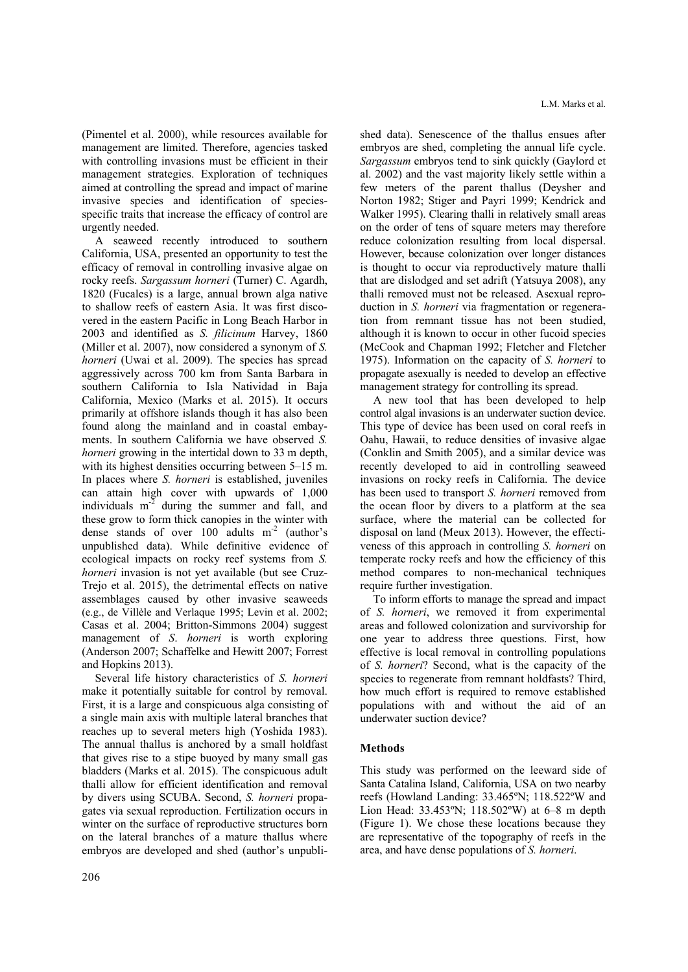(Pimentel et al. 2000), while resources available for management are limited. Therefore, agencies tasked with controlling invasions must be efficient in their management strategies. Exploration of techniques aimed at controlling the spread and impact of marine invasive species and identification of speciesspecific traits that increase the efficacy of control are urgently needed.

A seaweed recently introduced to southern California, USA, presented an opportunity to test the efficacy of removal in controlling invasive algae on rocky reefs. *Sargassum horneri* (Turner) C. Agardh, 1820 (Fucales) is a large, annual brown alga native to shallow reefs of eastern Asia. It was first discovered in the eastern Pacific in Long Beach Harbor in 2003 and identified as *S. filicinum* Harvey, 1860 (Miller et al. 2007), now considered a synonym of *S. horneri* (Uwai et al. 2009). The species has spread aggressively across 700 km from Santa Barbara in southern California to Isla Natividad in Baja California, Mexico (Marks et al. 2015). It occurs primarily at offshore islands though it has also been found along the mainland and in coastal embayments. In southern California we have observed *S. horneri* growing in the intertidal down to 33 m depth, with its highest densities occurring between 5–15 m. In places where *S. horneri* is established, juveniles can attain high cover with upwards of 1,000 individuals m-2 during the summer and fall, and these grow to form thick canopies in the winter with dense stands of over  $100$  adults m<sup>-2</sup> (author's unpublished data). While definitive evidence of ecological impacts on rocky reef systems from *S. horneri* invasion is not yet available (but see Cruz-Trejo et al. 2015), the detrimental effects on native assemblages caused by other invasive seaweeds (e.g., de Villèle and Verlaque 1995; Levin et al. 2002; Casas et al. 2004; Britton-Simmons 2004) suggest management of *S*. *horneri* is worth exploring (Anderson 2007; Schaffelke and Hewitt 2007; Forrest and Hopkins 2013).

Several life history characteristics of *S. horneri* make it potentially suitable for control by removal. First, it is a large and conspicuous alga consisting of a single main axis with multiple lateral branches that reaches up to several meters high (Yoshida 1983). The annual thallus is anchored by a small holdfast that gives rise to a stipe buoyed by many small gas bladders (Marks et al. 2015). The conspicuous adult thalli allow for efficient identification and removal by divers using SCUBA. Second, *S. horneri* propagates via sexual reproduction. Fertilization occurs in winter on the surface of reproductive structures born on the lateral branches of a mature thallus where embryos are developed and shed (author's unpubli-

206

shed data). Senescence of the thallus ensues after embryos are shed, completing the annual life cycle. *Sargassum* embryos tend to sink quickly (Gaylord et al. 2002) and the vast majority likely settle within a few meters of the parent thallus (Deysher and Norton 1982; Stiger and Payri 1999; Kendrick and Walker 1995). Clearing thalli in relatively small areas on the order of tens of square meters may therefore reduce colonization resulting from local dispersal. However, because colonization over longer distances is thought to occur via reproductively mature thalli that are dislodged and set adrift (Yatsuya 2008), any thalli removed must not be released. Asexual reproduction in *S. horneri* via fragmentation or regeneration from remnant tissue has not been studied, although it is known to occur in other fucoid species (McCook and Chapman 1992; Fletcher and Fletcher 1975). Information on the capacity of *S. horneri* to propagate asexually is needed to develop an effective management strategy for controlling its spread.

A new tool that has been developed to help control algal invasions is an underwater suction device. This type of device has been used on coral reefs in Oahu, Hawaii, to reduce densities of invasive algae (Conklin and Smith 2005), and a similar device was recently developed to aid in controlling seaweed invasions on rocky reefs in California. The device has been used to transport *S. horneri* removed from the ocean floor by divers to a platform at the sea surface, where the material can be collected for disposal on land (Meux 2013). However, the effectiveness of this approach in controlling *S. horneri* on temperate rocky reefs and how the efficiency of this method compares to non-mechanical techniques require further investigation.

To inform efforts to manage the spread and impact of *S. horneri*, we removed it from experimental areas and followed colonization and survivorship for one year to address three questions. First, how effective is local removal in controlling populations of *S. horneri*? Second, what is the capacity of the species to regenerate from remnant holdfasts? Third, how much effort is required to remove established populations with and without the aid of an underwater suction device?

## **Methods**

This study was performed on the leeward side of Santa Catalina Island, California, USA on two nearby reefs (Howland Landing: 33.465ºN; 118.522ºW and Lion Head: 33.453ºN; 118.502ºW) at 6–8 m depth (Figure 1). We chose these locations because they are representative of the topography of reefs in the area, and have dense populations of *S. horneri*.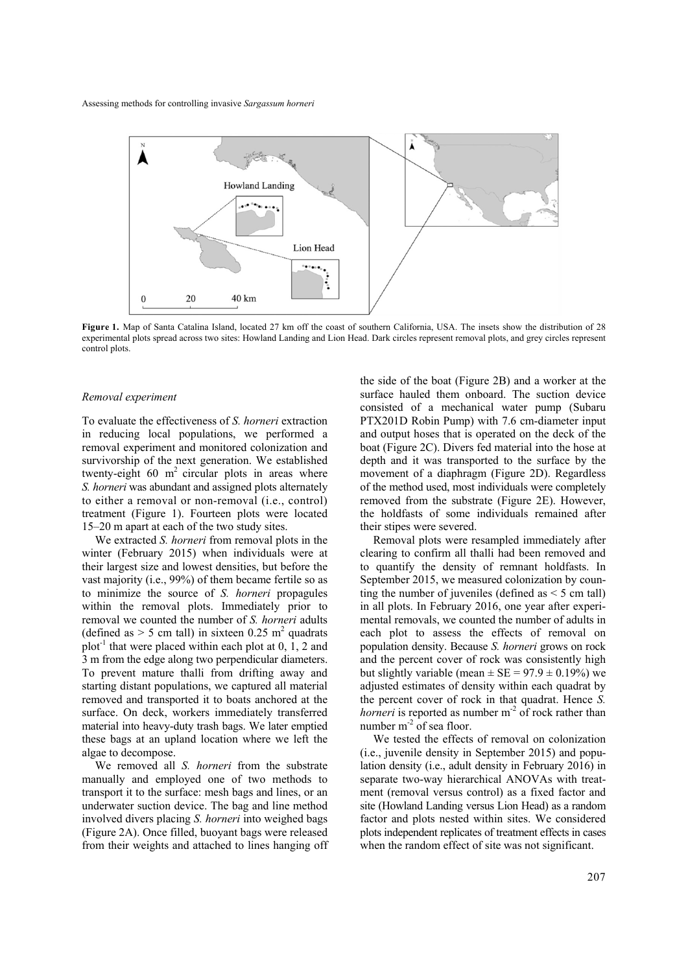

**Figure 1.** Map of Santa Catalina Island, located 27 km off the coast of southern California, USA. The insets show the distribution of 28 experimental plots spread across two sites: Howland Landing and Lion Head. Dark circles represent removal plots, and grey circles represent control plots.

## *Removal experiment*

To evaluate the effectiveness of *S. horneri* extraction in reducing local populations, we performed a removal experiment and monitored colonization and survivorship of the next generation. We established twenty-eight  $60 \text{ m}^2$  circular plots in areas where *S. horneri* was abundant and assigned plots alternately to either a removal or non-removal (i.e., control) treatment (Figure 1). Fourteen plots were located 15–20 m apart at each of the two study sites.

We extracted *S. horneri* from removal plots in the winter (February 2015) when individuals were at their largest size and lowest densities, but before the vast majority (i.e., 99%) of them became fertile so as to minimize the source of *S. horneri* propagules within the removal plots. Immediately prior to removal we counted the number of *S. horneri* adults (defined as  $> 5$  cm tall) in sixteen 0.25 m<sup>2</sup> quadrats plot<sup>-1</sup> that were placed within each plot at  $0, 1, 2$  and 3 m from the edge along two perpendicular diameters. To prevent mature thalli from drifting away and starting distant populations, we captured all material removed and transported it to boats anchored at the surface. On deck, workers immediately transferred material into heavy-duty trash bags. We later emptied these bags at an upland location where we left the algae to decompose.

We removed all *S. horneri* from the substrate manually and employed one of two methods to transport it to the surface: mesh bags and lines, or an underwater suction device. The bag and line method involved divers placing *S. horneri* into weighed bags (Figure 2A). Once filled, buoyant bags were released from their weights and attached to lines hanging off the side of the boat (Figure 2B) and a worker at the surface hauled them onboard. The suction device consisted of a mechanical water pump (Subaru PTX201D Robin Pump) with 7.6 cm-diameter input and output hoses that is operated on the deck of the boat (Figure 2C). Divers fed material into the hose at depth and it was transported to the surface by the movement of a diaphragm (Figure 2D). Regardless of the method used, most individuals were completely removed from the substrate (Figure 2E). However, the holdfasts of some individuals remained after their stipes were severed.

Removal plots were resampled immediately after clearing to confirm all thalli had been removed and to quantify the density of remnant holdfasts. In September 2015, we measured colonization by counting the number of juveniles (defined as  $\leq$  5 cm tall) in all plots. In February 2016, one year after experimental removals, we counted the number of adults in each plot to assess the effects of removal on population density. Because *S. horneri* grows on rock and the percent cover of rock was consistently high but slightly variable (mean  $\pm$  SE = 97.9  $\pm$  0.19%) we adjusted estimates of density within each quadrat by the percent cover of rock in that quadrat. Hence *S. horneri* is reported as number m<sup>-2</sup> of rock rather than number  $m<sup>2</sup>$  of sea floor.

We tested the effects of removal on colonization (i.e., juvenile density in September 2015) and population density (i.e., adult density in February 2016) in separate two-way hierarchical ANOVAs with treatment (removal versus control) as a fixed factor and site (Howland Landing versus Lion Head) as a random factor and plots nested within sites. We considered plots independent replicates of treatment effects in cases when the random effect of site was not significant.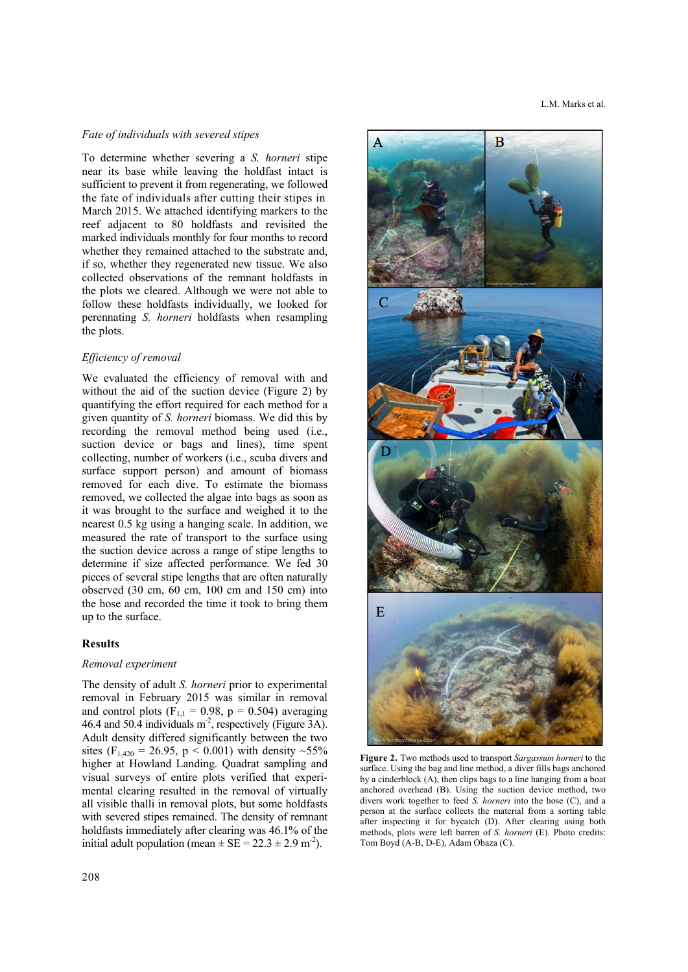## *Fate of individuals with severed stipes*

To determine whether severing a *S. horneri* stipe near its base while leaving the holdfast intact is sufficient to prevent it from regenerating, we followed the fate of individuals after cutting their stipes in March 2015. We attached identifying markers to the reef adjacent to 80 holdfasts and revisited the marked individuals monthly for four months to record whether they remained attached to the substrate and, if so, whether they regenerated new tissue. We also collected observations of the remnant holdfasts in the plots we cleared. Although we were not able to follow these holdfasts individually, we looked for perennating *S. horneri* holdfasts when resampling the plots.

## *Efficiency of removal*

We evaluated the efficiency of removal with and without the aid of the suction device (Figure 2) by quantifying the effort required for each method for a given quantity of *S. horneri* biomass. We did this by recording the removal method being used (i.e., suction device or bags and lines), time spent collecting, number of workers (i.e., scuba divers and surface support person) and amount of biomass removed for each dive. To estimate the biomass removed, we collected the algae into bags as soon as it was brought to the surface and weighed it to the nearest 0.5 kg using a hanging scale. In addition, we measured the rate of transport to the surface using the suction device across a range of stipe lengths to determine if size affected performance. We fed 30 pieces of several stipe lengths that are often naturally observed (30 cm, 60 cm, 100 cm and 150 cm) into the hose and recorded the time it took to bring them up to the surface.

## **Results**

## *Removal experiment*

The density of adult *S. horneri* prior to experimental removal in February 2015 was similar in removal and control plots ( $F_{1,1} = 0.98$ ,  $p = 0.504$ ) averaging 46.4 and 50.4 individuals m<sup>-2</sup>, respectively (Figure 3A). Adult density differed significantly between the two sites (F<sub>1,420</sub> = 26.95, p < 0.001) with density  $\sim$ 55% higher at Howland Landing. Quadrat sampling and visual surveys of entire plots verified that experimental clearing resulted in the removal of virtually all visible thalli in removal plots, but some holdfasts with severed stipes remained. The density of remnant holdfasts immediately after clearing was 46.1% of the initial adult population (mean  $\pm$  SE = 22.3  $\pm$  2.9 m<sup>-2</sup>).



**Figure 2.** Two methods used to transport *Sargassum horneri* to the surface. Using the bag and line method, a diver fills bags anchored by a cinderblock (A), then clips bags to a line hanging from a boat anchored overhead (B). Using the suction device method, two divers work together to feed *S. horneri* into the hose (C), and a person at the surface collects the material from a sorting table after inspecting it for bycatch (D). After clearing using both methods, plots were left barren of *S. horneri* (E). Photo credits: Tom Boyd (A-B, D-E), Adam Obaza (C).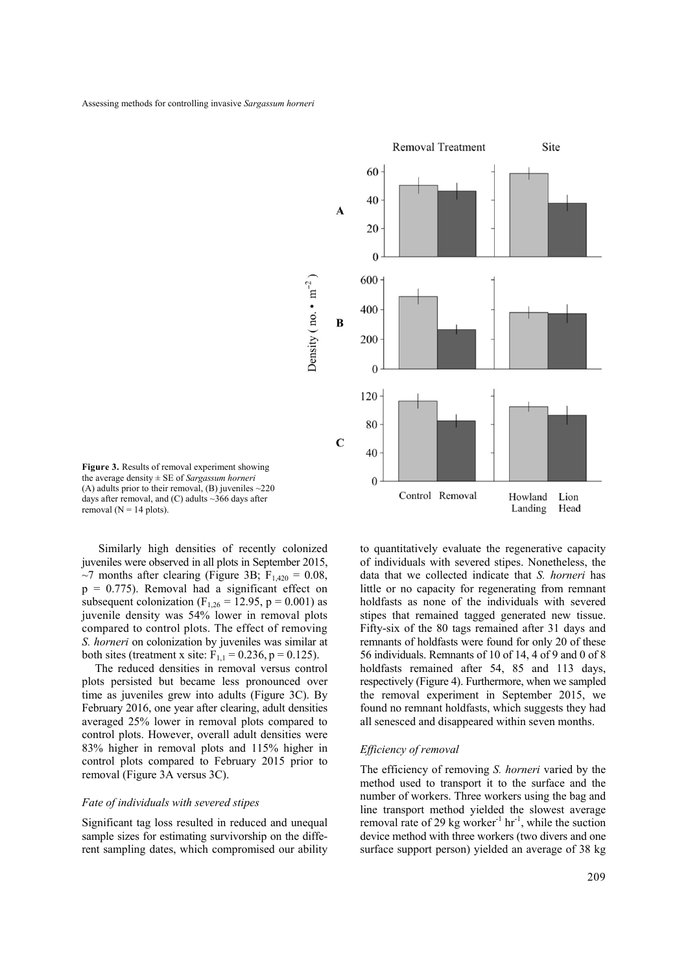

**Figure 3.** Results of removal experiment showing the average density ± SE of *Sargassum horneri* (A) adults prior to their removal, (B) juveniles  $\sim$ 220 days after removal, and  $(C)$  adults  $\sim$ 366 days after removal ( $N = 14$  plots).

Similarly high densities of recently colonized juveniles were observed in all plots in September 2015,  $\sim$ 7 months after clearing (Figure 3B; F<sub>1,420</sub> = 0.08,  $p = 0.775$ ). Removal had a significant effect on subsequent colonization ( $F_{1,26} = 12.95$ , p = 0.001) as juvenile density was 54% lower in removal plots compared to control plots. The effect of removing *S. horneri* on colonization by juveniles was similar at both sites (treatment x site:  $F_{1,1} = 0.236$ , p = 0.125).

The reduced densities in removal versus control plots persisted but became less pronounced over time as juveniles grew into adults (Figure 3C). By February 2016, one year after clearing, adult densities averaged 25% lower in removal plots compared to control plots. However, overall adult densities were 83% higher in removal plots and 115% higher in control plots compared to February 2015 prior to removal (Figure 3A versus 3C).

#### *Fate of individuals with severed stipes*

Significant tag loss resulted in reduced and unequal sample sizes for estimating survivorship on the different sampling dates, which compromised our ability to quantitatively evaluate the regenerative capacity of individuals with severed stipes. Nonetheless, the data that we collected indicate that *S. horneri* has little or no capacity for regenerating from remnant holdfasts as none of the individuals with severed stipes that remained tagged generated new tissue. Fifty-six of the 80 tags remained after 31 days and remnants of holdfasts were found for only 20 of these 56 individuals. Remnants of 10 of 14, 4 of 9 and 0 of 8 holdfasts remained after 54, 85 and 113 days, respectively (Figure 4). Furthermore, when we sampled the removal experiment in September 2015, we found no remnant holdfasts, which suggests they had all senesced and disappeared within seven months.

## *Efficiency of removal*

The efficiency of removing *S. horneri* varied by the method used to transport it to the surface and the number of workers. Three workers using the bag and line transport method yielded the slowest average removal rate of 29 kg worker<sup>-1</sup> hr<sup>-1</sup>, while the suction device method with three workers (two divers and one surface support person) yielded an average of 38 kg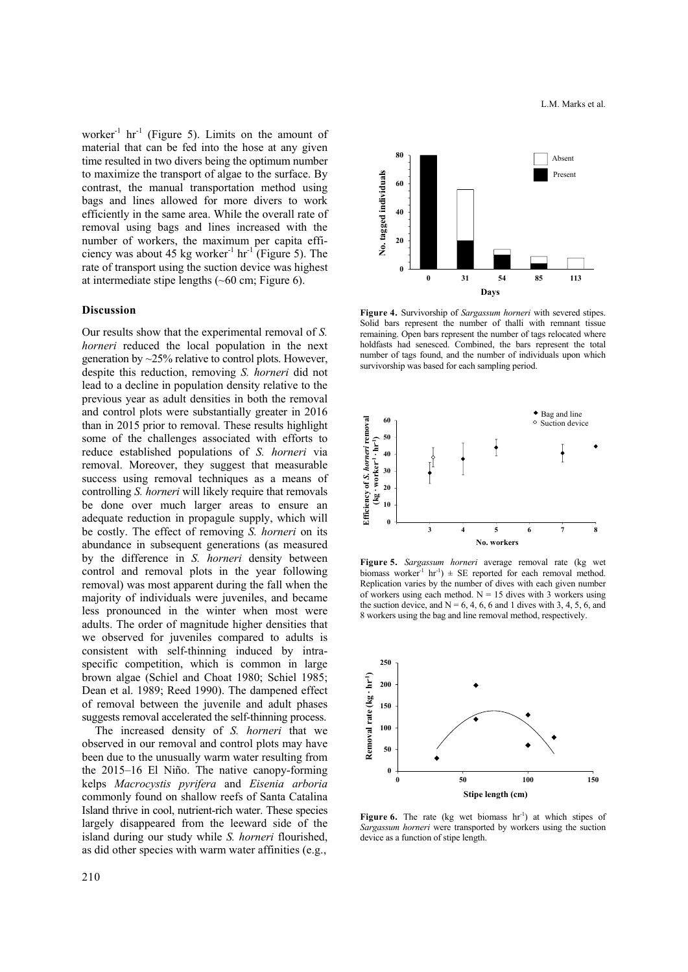worker $^{-1}$  hr<sup>-1</sup> (Figure 5). Limits on the amount of material that can be fed into the hose at any given time resulted in two divers being the optimum number to maximize the transport of algae to the surface. By contrast, the manual transportation method using bags and lines allowed for more divers to work efficiently in the same area. While the overall rate of removal using bags and lines increased with the number of workers, the maximum per capita efficiency was about 45 kg worker<sup>-1</sup> hr<sup>-1</sup> (Figure 5). The rate of transport using the suction device was highest at intermediate stipe lengths (~60 cm; Figure 6).

#### **Discussion**

Our results show that the experimental removal of *S. horneri* reduced the local population in the next generation by ~25% relative to control plots. However, despite this reduction, removing *S. horneri* did not lead to a decline in population density relative to the previous year as adult densities in both the removal and control plots were substantially greater in 2016 than in 2015 prior to removal. These results highlight some of the challenges associated with efforts to reduce established populations of *S. horneri* via removal. Moreover, they suggest that measurable success using removal techniques as a means of controlling *S. horneri* will likely require that removals be done over much larger areas to ensure an adequate reduction in propagule supply, which will be costly. The effect of removing *S. horneri* on its abundance in subsequent generations (as measured by the difference in *S. horneri* density between control and removal plots in the year following removal) was most apparent during the fall when the majority of individuals were juveniles, and became less pronounced in the winter when most were adults. The order of magnitude higher densities that we observed for juveniles compared to adults is consistent with self-thinning induced by intraspecific competition, which is common in large brown algae (Schiel and Choat 1980; Schiel 1985; Dean et al. 1989; Reed 1990). The dampened effect of removal between the juvenile and adult phases suggests removal accelerated the self-thinning process.

The increased density of *S. horneri* that we observed in our removal and control plots may have been due to the unusually warm water resulting from the 2015–16 El Niño. The native canopy-forming kelps *Macrocystis pyrifera* and *Eisenia arboria* commonly found on shallow reefs of Santa Catalina Island thrive in cool, nutrient-rich water. These species largely disappeared from the leeward side of the island during our study while *S. horneri* flourished, as did other species with warm water affinities (e.g.,



**Figure 4.** Survivorship of *Sargassum horneri* with severed stipes. Solid bars represent the number of thalli with remnant tissue remaining. Open bars represent the number of tags relocated where holdfasts had senesced. Combined, the bars represent the total number of tags found, and the number of individuals upon which survivorship was based for each sampling period.



**Figure 5.** *Sargassum horneri* average removal rate (kg wet biomass worker<sup>-1</sup> hr<sup>-1</sup>)  $\pm$  SE reported for each removal method. Replication varies by the number of dives with each given number of workers using each method.  $N = 15$  dives with 3 workers using the suction device, and  $N = 6, 4, 6, 6$  and 1 dives with 3, 4, 5, 6, and 8 workers using the bag and line removal method, respectively.



**Figure 6.** The rate (kg wet biomass hr<sup>-1</sup>) at which stipes of *Sargassum horneri* were transported by workers using the suction device as a function of stipe length.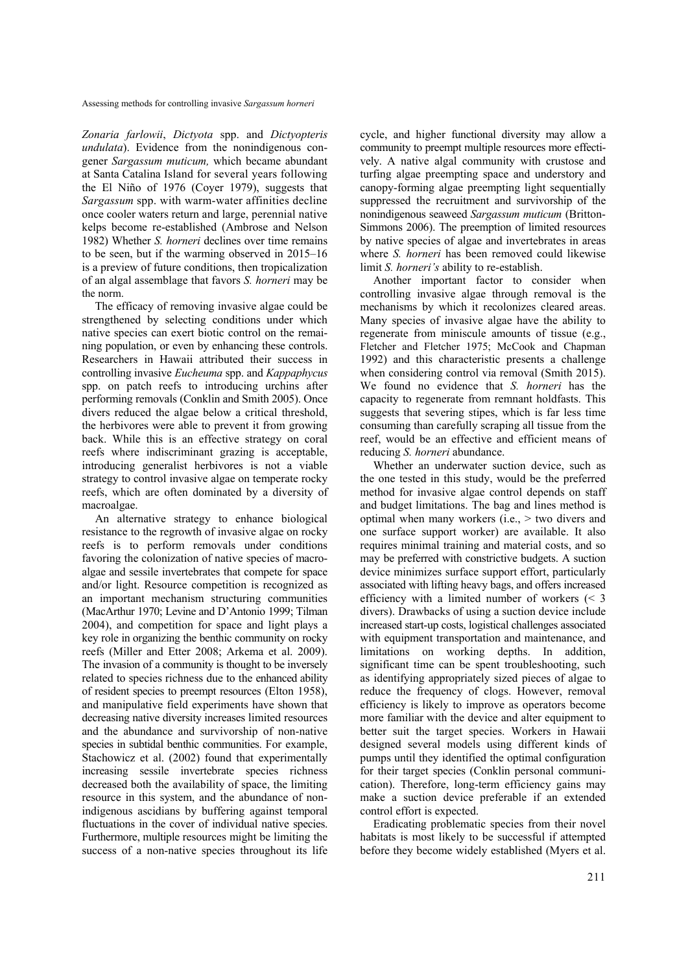*Zonaria farlowii*, *Dictyota* spp. and *Dictyopteris undulata*). Evidence from the nonindigenous congener *Sargassum muticum,* which became abundant at Santa Catalina Island for several years following the El Niño of 1976 (Coyer 1979), suggests that *Sargassum* spp. with warm-water affinities decline once cooler waters return and large, perennial native kelps become re-established (Ambrose and Nelson 1982) Whether *S. horneri* declines over time remains to be seen, but if the warming observed in 2015–16 is a preview of future conditions, then tropicalization of an algal assemblage that favors *S. horneri* may be the norm.

The efficacy of removing invasive algae could be strengthened by selecting conditions under which native species can exert biotic control on the remaining population, or even by enhancing these controls. Researchers in Hawaii attributed their success in controlling invasive *Eucheuma* spp. and *Kappaphycus*  spp. on patch reefs to introducing urchins after performing removals (Conklin and Smith 2005). Once divers reduced the algae below a critical threshold, the herbivores were able to prevent it from growing back. While this is an effective strategy on coral reefs where indiscriminant grazing is acceptable, introducing generalist herbivores is not a viable strategy to control invasive algae on temperate rocky reefs, which are often dominated by a diversity of macroalgae.

An alternative strategy to enhance biological resistance to the regrowth of invasive algae on rocky reefs is to perform removals under conditions favoring the colonization of native species of macroalgae and sessile invertebrates that compete for space and/or light. Resource competition is recognized as an important mechanism structuring communities (MacArthur 1970; Levine and D'Antonio 1999; Tilman 2004), and competition for space and light plays a key role in organizing the benthic community on rocky reefs (Miller and Etter 2008; Arkema et al. 2009). The invasion of a community is thought to be inversely related to species richness due to the enhanced ability of resident species to preempt resources (Elton 1958), and manipulative field experiments have shown that decreasing native diversity increases limited resources and the abundance and survivorship of non-native species in subtidal benthic communities. For example, Stachowicz et al. (2002) found that experimentally increasing sessile invertebrate species richness decreased both the availability of space, the limiting resource in this system, and the abundance of nonindigenous ascidians by buffering against temporal fluctuations in the cover of individual native species. Furthermore, multiple resources might be limiting the success of a non-native species throughout its life cycle, and higher functional diversity may allow a community to preempt multiple resources more effectively. A native algal community with crustose and turfing algae preempting space and understory and canopy-forming algae preempting light sequentially suppressed the recruitment and survivorship of the nonindigenous seaweed *Sargassum muticum* (Britton-Simmons 2006). The preemption of limited resources by native species of algae and invertebrates in areas where *S. horneri* has been removed could likewise limit *S. horneri's* ability to re-establish.

Another important factor to consider when controlling invasive algae through removal is the mechanisms by which it recolonizes cleared areas. Many species of invasive algae have the ability to regenerate from miniscule amounts of tissue (e.g., Fletcher and Fletcher 1975; McCook and Chapman 1992) and this characteristic presents a challenge when considering control via removal (Smith 2015). We found no evidence that *S. horneri* has the capacity to regenerate from remnant holdfasts. This suggests that severing stipes, which is far less time consuming than carefully scraping all tissue from the reef, would be an effective and efficient means of reducing *S. horneri* abundance.

Whether an underwater suction device, such as the one tested in this study, would be the preferred method for invasive algae control depends on staff and budget limitations. The bag and lines method is optimal when many workers (i.e., > two divers and one surface support worker) are available. It also requires minimal training and material costs, and so may be preferred with constrictive budgets. A suction device minimizes surface support effort, particularly associated with lifting heavy bags, and offers increased efficiency with a limited number of workers  $\leq 3$ divers). Drawbacks of using a suction device include increased start-up costs, logistical challenges associated with equipment transportation and maintenance, and limitations on working depths. In addition, significant time can be spent troubleshooting, such as identifying appropriately sized pieces of algae to reduce the frequency of clogs. However, removal efficiency is likely to improve as operators become more familiar with the device and alter equipment to better suit the target species. Workers in Hawaii designed several models using different kinds of pumps until they identified the optimal configuration for their target species (Conklin personal communication). Therefore, long-term efficiency gains may make a suction device preferable if an extended control effort is expected.

Eradicating problematic species from their novel habitats is most likely to be successful if attempted before they become widely established (Myers et al.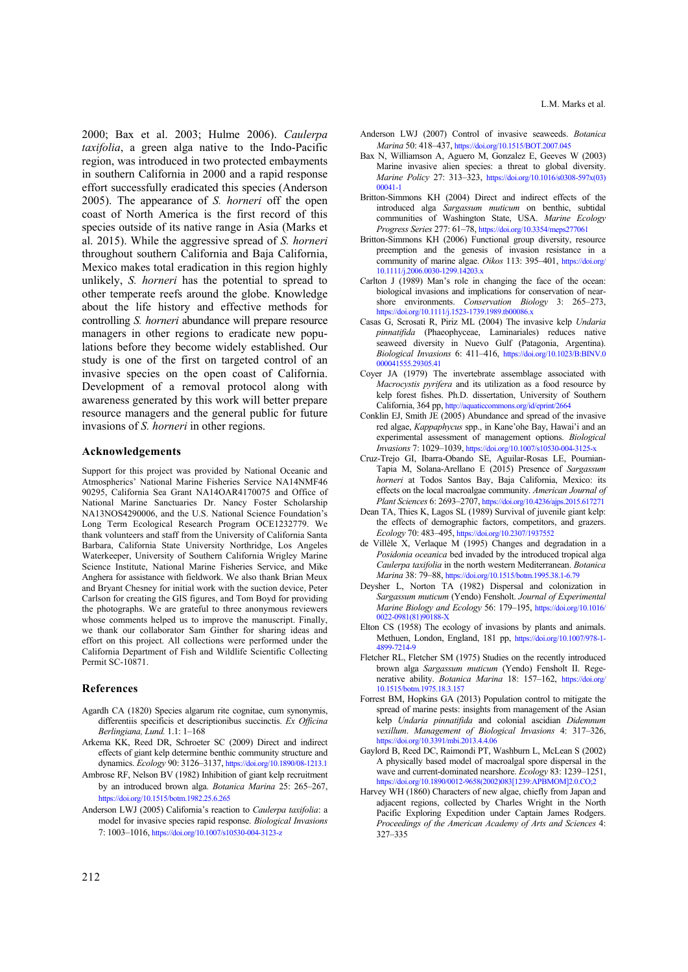2000; Bax et al. 2003; Hulme 2006). *Caulerpa taxifolia*, a green alga native to the Indo-Pacific region, was introduced in two protected embayments in southern California in 2000 and a rapid response effort successfully eradicated this species (Anderson 2005). The appearance of *S. horneri* off the open coast of North America is the first record of this species outside of its native range in Asia (Marks et al. 2015). While the aggressive spread of *S. horneri* throughout southern California and Baja California, Mexico makes total eradication in this region highly unlikely, *S. horneri* has the potential to spread to other temperate reefs around the globe. Knowledge about the life history and effective methods for controlling *S. horneri* abundance will prepare resource managers in other regions to eradicate new populations before they become widely established. Our study is one of the first on targeted control of an invasive species on the open coast of California. Development of a removal protocol along with awareness generated by this work will better prepare resource managers and the general public for future invasions of *S. horneri* in other regions.

## **Acknowledgements**

Support for this project was provided by National Oceanic and Atmospherics' National Marine Fisheries Service NA14NMF46 90295, California Sea Grant NA14OAR4170075 and Office of National Marine Sanctuaries Dr. Nancy Foster Scholarship NA13NOS4290006, and the U.S. National Science Foundation's Long Term Ecological Research Program OCE1232779. We thank volunteers and staff from the University of California Santa Barbara, California State University Northridge, Los Angeles Waterkeeper, University of Southern California Wrigley Marine Science Institute, National Marine Fisheries Service, and Mike Anghera for assistance with fieldwork. We also thank Brian Meux and Bryant Chesney for initial work with the suction device, Peter Carlson for creating the GIS figures, and Tom Boyd for providing the photographs. We are grateful to three anonymous reviewers whose comments helped us to improve the manuscript. Finally, we thank our collaborator Sam Ginther for sharing ideas and effort on this project. All collections were performed under the California Department of Fish and Wildlife Scientific Collecting Permit SC-10871.

## **References**

- Agardh CA (1820) Species algarum rite cognitae, cum synonymis, differentiis specificis et descriptionibus succinctis. *Ex Officina Berlingiana, Lund.* 1.1: 1–168
- Arkema KK, Reed DR, Schroeter SC (2009) Direct and indirect effects of giant kelp determine benthic community structure and dynamics. *Ecology* 90: 3126–3137, https://doi.org/10.1890/08-1213.1
- Ambrose RF, Nelson BV (1982) Inhibition of giant kelp recruitment by an introduced brown alga. *Botanica Marina* 25: 265–267, https://doi.org/10.1515/botm.1982.25.6.265
- Anderson LWJ (2005) California's reaction to *Caulerpa taxifolia*: a model for invasive species rapid response. *Biological Invasions* 7: 1003–1016, https://doi.org/10.1007/s10530-004-3123-z
- Anderson LWJ (2007) Control of invasive seaweeds. *Botanica Marina* 50: 418–437, https://doi.org/10.1515/BOT.2007.045
- Bax N, Williamson A, Aguero M, Gonzalez E, Geeves W (2003) Marine invasive alien species: a threat to global diversity. *Marine Policy* [27: 313–323, https://doi.org/10.1016/s0308-597x\(03\)](https://doi.org/10.1016/s0308-597x(03)00041-1)  00041-1
- Britton-Simmons KH (2004) Direct and indirect effects of the introduced alga *Sargassum muticum* on benthic, subtidal communities of Washington State, USA. *Marine Ecology Progress Series* 277: 61–78, https://doi.org/10.3354/meps277061
- Britton-Simmons KH (2006) Functional group diversity, resource preemption and the genesis of invasion resistance in a [community of marine algae.](https://doi.org/10.1111/j.2006.0030-1299.14203.x) *Oikos* 113: 395–401, https://doi.org/ 10.1111/j.2006.0030-1299.14203.x
- Carlton J (1989) Man's role in changing the face of the ocean: biological invasions and implications for conservation of nearshore environments. *Conservation Biology* 3: 265–273, https://doi.org/10.1111/j.1523-1739.1989.tb00086.x
- Casas G, Scrosati R, Piriz ML (2004) The invasive kelp *Undaria pinnatifida* (Phaeophyceae, Laminariales) reduces native seaweed diversity in Nuevo Gulf (Patagonia, Argentina). *Biological Invasions* [6: 411–416, https://doi.org/10.1023/B:BINV.0](https://doi.org/10.1023/B:BINV.0000041555.29305.41)  000041555.29305.41
- Coyer JA (1979) The invertebrate assemblage associated with *Macrocystis pyrifera* and its utilization as a food resource by kelp forest fishes. Ph.D. dissertation, University of Southern California, 364 pp, http://aquaticcommons.org/id/eprint/2664
- Conklin EJ, Smith JE (2005) Abundance and spread of the invasive red algae, *Kappaphycus* spp., in Kane'ohe Bay, Hawai'i and an experimental assessment of management options. *Biological Invasions* 7: 1029–1039, https://doi.org/10.1007/s10530-004-3125-x
- Cruz-Trejo GI, Ibarra-Obando SE, Aguilar-Rosas LE, Poumian-Tapia M, Solana-Arellano E (2015) Presence of *Sargassum horneri* at Todos Santos Bay, Baja California, Mexico: its effects on the local macroalgae community. *American Journal of Plant Sciences* 6: 2693–2707, https://doi.org/10.4236/ajps.2015.617271
- Dean TA, Thies K, Lagos SL (1989) Survival of juvenile giant kelp: the effects of demographic factors, competitors, and grazers. *Ecology* 70: 483–495, https://doi.org/10.2307/1937552
- de Villèle X, Verlaque M (1995) Changes and degradation in a *Posidonia oceanica* bed invaded by the introduced tropical alga *Caulerpa taxifolia* in the north western Mediterranean. *Botanica Marina* 38: 79–88, https://doi.org/10.1515/botm.1995.38.1-6.79
- Deysher L, Norton TA (1982) Dispersal and colonization in *Sargassum muticum* (Yendo) Fensholt. *Journal of Experimental Marine Biology and Ecology* [56: 179–195, https://doi.org/10.1016/](https://doi.org/10.1016/0022-0981(81)90188-X)  0022-0981(81)90188-X
- Elton CS (1958) The ecology of invasions by plants and animals. Methuen, London, England, 181 pp, https://doi.org/10.1007/978-1- 4899-7214-9
- Fletcher RL, Fletcher SM (1975) Studies on the recently introduced brown alga *Sargassum muticum* (Yendo) Fensholt II. Regenerative ability. *Botanica Marina* [18: 157–162, https://doi.org/](https://doi.org/10.1515/botm.1975.18.3.157)  10.1515/botm.1975.18.3.157
- Forrest BM, Hopkins GA (2013) Population control to mitigate the spread of marine pests: insights from management of the Asian kelp *Undaria pinnatifida* and colonial ascidian *Didemnum vexillum*. *Management of Biological Invasions* 4: 317–326, https://doi.org/10.3391/mbi.2013.4.4.06
- Gaylord B, Reed DC, Raimondi PT, Washburn L, McLean S (2002) A physically based model of macroalgal spore dispersal in the wave and current-dominated nearshore. *Ecology* 83: 1239–1251, [https://doi.org/10.1890/0012-9658\(2002\)083\[1239:APBMOM\]2.0.CO;2](https://doi.org/10.1890/0012-9658(2002)083[1239:APBMOM]2.0.CO;2)
- Harvey WH (1860) Characters of new algae, chiefly from Japan and adjacent regions, collected by Charles Wright in the North Pacific Exploring Expedition under Captain James Rodgers. *Proceedings of the American Academy of Arts and Sciences* 4: 327–335